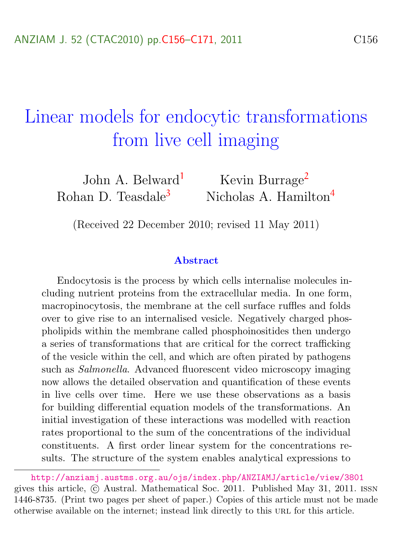# <span id="page-0-0"></span>Linear models for endocytic transformations from live cell imaging

John A. Belward<sup>[1](#page-15-1)</sup> Kevin Burrage<sup>[2](#page-15-2)</sup> Rohan D. Teasdale<sup>[3](#page-15-3)</sup> Nicholas A. Hamilton<sup>[4](#page-15-0)</sup>

(Received 22 December 2010; revised 11 May 2011)

#### Abstract

Endocytosis is the process by which cells internalise molecules including nutrient proteins from the extracellular media. In one form, macropinocytosis, the membrane at the cell surface ruffles and folds over to give rise to an internalised vesicle. Negatively charged phospholipids within the membrane called phosphoinositides then undergo a series of transformations that are critical for the correct trafficking of the vesicle within the cell, and which are often pirated by pathogens such as Salmonella. Advanced fluorescent video microscopy imaging now allows the detailed observation and quantification of these events in live cells over time. Here we use these observations as a basis for building differential equation models of the transformations. An initial investigation of these interactions was modelled with reaction rates proportional to the sum of the concentrations of the individual constituents. A first order linear system for the concentrations results. The structure of the system enables analytical expressions to

<http://anziamj.austms.org.au/ojs/index.php/ANZIAMJ/article/view/3801> gives this article, c Austral. Mathematical Soc. 2011. Published May 31, 2011. issn 1446-8735. (Print two pages per sheet of paper.) Copies of this article must not be made otherwise available on the internet; instead link directly to this url for this article.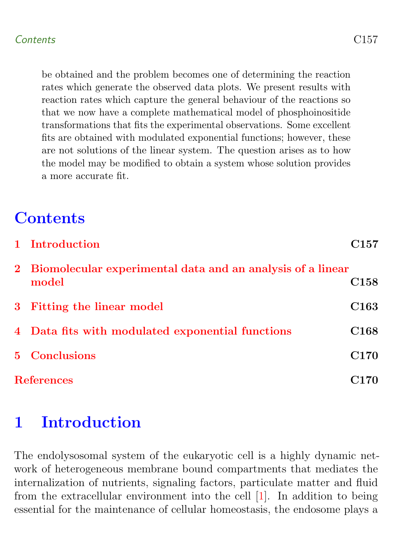<span id="page-1-1"></span>be obtained and the problem becomes one of determining the reaction rates which generate the observed data plots. We present results with reaction rates which capture the general behaviour of the reactions so that we now have a complete mathematical model of phosphoinositide transformations that fits the experimental observations. Some excellent fits are obtained with modulated exponential functions; however, these are not solutions of the linear system. The question arises as to how the model may be modified to obtain a system whose solution provides a more accurate fit.

# **Contents**

| 1 Introduction                                                        | ${\rm C}157$     |
|-----------------------------------------------------------------------|------------------|
| 2 Biomolecular experimental data and an analysis of a linear<br>model | C <sub>158</sub> |
| 3 Fitting the linear model                                            | C <sub>163</sub> |
| 4 Data fits with modulated exponential functions                      | C <sub>168</sub> |
| 5 Conclusions                                                         | C <sub>170</sub> |
| <b>References</b>                                                     | C <sub>170</sub> |

## <span id="page-1-0"></span>1 Introduction

The endolysosomal system of the eukaryotic cell is a highly dynamic network of heterogeneous membrane bound compartments that mediates the internalization of nutrients, signaling factors, particulate matter and fluid from the extracellular environment into the cell [\[1\]](#page-14-1). In addition to being essential for the maintenance of cellular homeostasis, the endosome plays a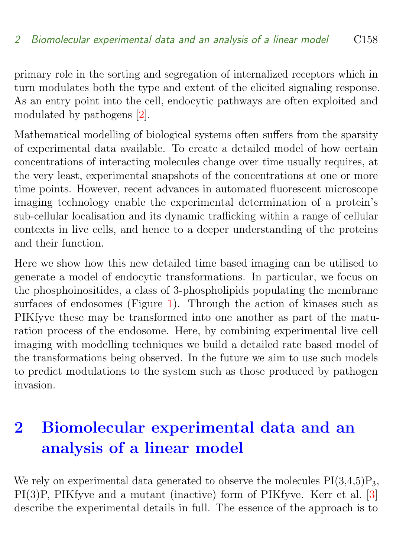<span id="page-2-1"></span>primary role in the sorting and segregation of internalized receptors which in turn modulates both the type and extent of the elicited signaling response. As an entry point into the cell, endocytic pathways are often exploited and modulated by pathogens [\[2\]](#page-15-4).

Mathematical modelling of biological systems often suffers from the sparsity of experimental data available. To create a detailed model of how certain concentrations of interacting molecules change over time usually requires, at the very least, experimental snapshots of the concentrations at one or more time points. However, recent advances in automated fluorescent microscope imaging technology enable the experimental determination of a protein's sub-cellular localisation and its dynamic trafficking within a range of cellular contexts in live cells, and hence to a deeper understanding of the proteins and their function.

Here we show how this new detailed time based imaging can be utilised to generate a model of endocytic transformations. In particular, we focus on the phosphoinositides, a class of 3-phospholipids populating the membrane surfaces of endosomes (Figure [1\)](#page-3-0). Through the action of kinases such as PIKfyve these may be transformed into one another as part of the maturation process of the endosome. Here, by combining experimental live cell imaging with modelling techniques we build a detailed rate based model of the transformations being observed. In the future we aim to use such models to predict modulations to the system such as those produced by pathogen invasion.

# <span id="page-2-0"></span>2 Biomolecular experimental data and an analysis of a linear model

We rely on experimental data generated to observe the molecules  $PI(3,4,5)P_3$ , PI(3)P, PIKfyve and a mutant (inactive) form of PIKfyve. Kerr et al. [\[3\]](#page-15-5) describe the experimental details in full. The essence of the approach is to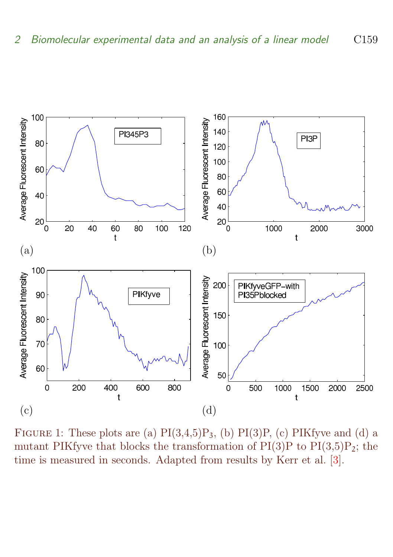<span id="page-3-1"></span>

<span id="page-3-0"></span>FIGURE 1: These plots are (a)  $PI(3,4,5)P_3$ , (b)  $PI(3)P$ , (c)  $PIKf$ yve and (d) a mutant PIKfyve that blocks the transformation of  $PI(3)P$  to  $PI(3,5)P$ ; the time is measured in seconds. Adapted from results by Kerr et al. [\[3\]](#page-15-5).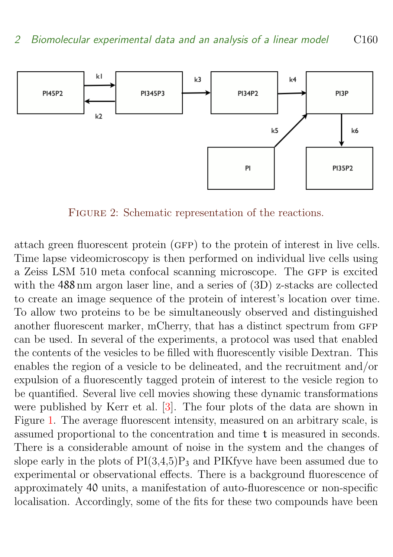<span id="page-4-1"></span>

<span id="page-4-0"></span>FIGURE 2: Schematic representation of the reactions.

attach green fluorescent protein (gfp) to the protein of interest in live cells. Time lapse videomicroscopy is then performed on individual live cells using a Zeiss LSM 510 meta confocal scanning microscope. The GFP is excited with the  $488 \text{ nm}$  argon laser line, and a series of  $(3D)$  z-stacks are collected to create an image sequence of the protein of interest's location over time. To allow two proteins to be be simultaneously observed and distinguished another fluorescent marker, mCherry, that has a distinct spectrum from GFP can be used. In several of the experiments, a protocol was used that enabled the contents of the vesicles to be filled with fluorescently visible Dextran. This enables the region of a vesicle to be delineated, and the recruitment and/or expulsion of a fluorescently tagged protein of interest to the vesicle region to be quantified. Several live cell movies showing these dynamic transformations were published by Kerr et al. [\[3\]](#page-15-5). The four plots of the data are shown in Figure [1.](#page-3-0) The average fluorescent intensity, measured on an arbitrary scale, is assumed proportional to the concentration and time t is measured in seconds. There is a considerable amount of noise in the system and the changes of slope early in the plots of  $PI(3,4,5)P_3$  and PIKfyve have been assumed due to experimental or observational effects. There is a background fluorescence of approximately 40 units, a manifestation of auto-fluorescence or non-specific localisation. Accordingly, some of the fits for these two compounds have been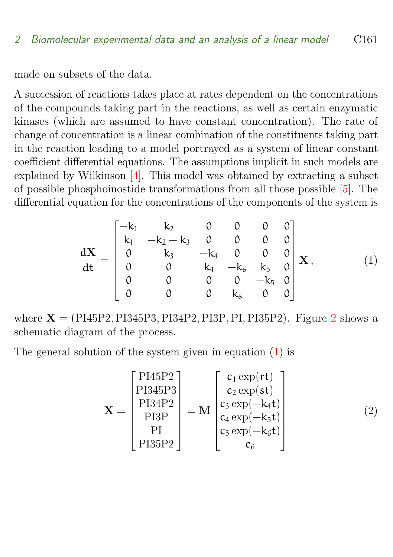<span id="page-5-2"></span>made on subsets of the data.

A succession of reactions takes place at rates dependent on the concentrations of the compounds taking part in the reactions, as well as certain enzymatic kinases (which are assumed to have constant concentration). The rate of change of concentration is a linear combination of the constituents taking part in the reaction leading to a model portrayed as a system of linear constant coefficient differential equations. The assumptions implicit in such models are explained by Wilkinson [\[4\]](#page-15-6). This model was obtained by extracting a subset of possible phosphoinostide transformations from all those possible [\[5\]](#page-15-7). The differential equation for the concentrations of the components of the system is

<span id="page-5-0"></span>
$$
\frac{d\mathbf{X}}{dt} = \begin{bmatrix} -k_1 & k_2 & 0 & 0 & 0 & 0 \\ k_1 & -k_2 - k_3 & 0 & 0 & 0 & 0 \\ 0 & k_3 & -k_4 & 0 & 0 & 0 \\ 0 & 0 & k_4 & -k_6 & k_5 & 0 \\ 0 & 0 & 0 & 0 & -k_5 & 0 \\ 0 & 0 & 0 & k_6 & 0 & 0 \end{bmatrix} \mathbf{X}, \quad (1)
$$

where  $X = (P145P2, P1345P3, P134P2, P13P, P1, P135P2)$  $X = (P145P2, P1345P3, P134P2, P13P, P1, P135P2)$  $X = (P145P2, P1345P3, P134P2, P13P, P1, P135P2)$ . Figure 2 shows a schematic diagram of the process.

The general solution of the system given in equation [\(1\)](#page-5-0) is

<span id="page-5-1"></span>
$$
\mathbf{X} = \begin{bmatrix} \text{PI45P2} \\ \text{PI345P3} \\ \text{PI34P2} \\ \text{PI3P} \\ \text{PI} \\ \text{PI35P2} \end{bmatrix} = \mathbf{M} \begin{bmatrix} c_1 \exp(\mathbf{rt}) \\ c_2 \exp(\mathbf{st}) \\ c_3 \exp(-k_4 \mathbf{t}) \\ c_4 \exp(-k_5 \mathbf{t}) \\ c_5 \exp(-k_6 \mathbf{t}) \\ c_6 \end{bmatrix}
$$
(2)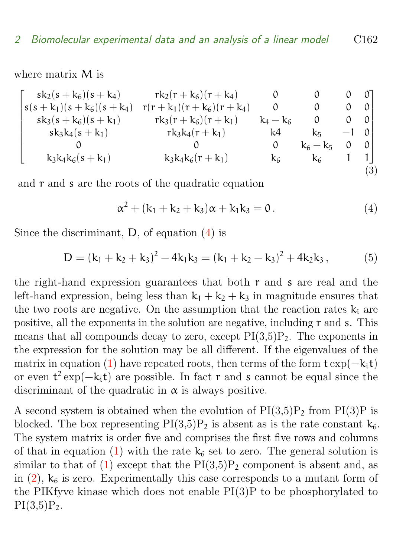where matrix M is

$$
\begin{bmatrix} sk_2(s+k_6)(s+k_4) & rk_2(r+k_6)(r+k_4) & 0 & 0 & 0 & 0 \\ s(s+k_1)(s+k_6)(s+k_4) & r(r+k_1)(r+k_6)(r+k_4) & 0 & 0 & 0 & 0 \\ sk_3(s+k_6)(s+k_1) & rk_3(r+k_6)(r+k_1) & k_4-k_6 & 0 & 0 & 0 \\ sk_3k_4(s+k_1) & rk_3k_4(r+k_1) & k_4 & k_5 & -1 & 0 \\ 0 & 0 & 0 & k_6-k_5 & 0 & 0 \\ k_3k_4k_6(s+k_1) & k_3k_4k_6(r+k_1) & k_6 & k_6 & 1 & 1 \end{bmatrix} (3)
$$

and r and s are the roots of the quadratic equation

<span id="page-6-0"></span>
$$
\alpha^2 + (k_1 + k_2 + k_3)\alpha + k_1k_3 = 0.
$$
 (4)

Since the discriminant, D, of equation [\(4\)](#page-6-0) is

$$
D = (k_1 + k_2 + k_3)^2 - 4k_1k_3 = (k_1 + k_2 - k_3)^2 + 4k_2k_3, \qquad (5)
$$

the right-hand expression guarantees that both  $r$  and  $s$  are real and the left-hand expression, being less than  $k_1 + k_2 + k_3$  in magnitude ensures that the two roots are negative. On the assumption that the reaction rates  $k_i$  are positive, all the exponents in the solution are negative, including r and s. This means that all compounds decay to zero, except  $PI(3,5)P_2$ . The exponents in the expression for the solution may be all different. If the eigenvalues of the matrix in equation [\(1\)](#page-5-0) have repeated roots, then terms of the form  $t \exp(-k_i t)$ or even  $t^2 \exp(-k_i t)$  are possible. In fact r and s cannot be equal since the discriminant of the quadratic in  $\alpha$  is always positive.

A second system is obtained when the evolution of  $PI(3,5)P_2$  from  $PI(3)P$  is blocked. The box representing  $PI(3,5)P_2$  is absent as is the rate constant  $k_6$ . The system matrix is order five and comprises the first five rows and columns of that in equation [\(1\)](#page-5-0) with the rate  $k_6$  set to zero. The general solution is similar to that of [\(1\)](#page-5-0) except that the  $PI(3,5)P_2$  component is absent and, as in  $(2)$ ,  $k_6$  is zero. Experimentally this case corresponds to a mutant form of the PIKfyve kinase which does not enable PI(3)P to be phosphorylated to  $PI(3,5)P_2.$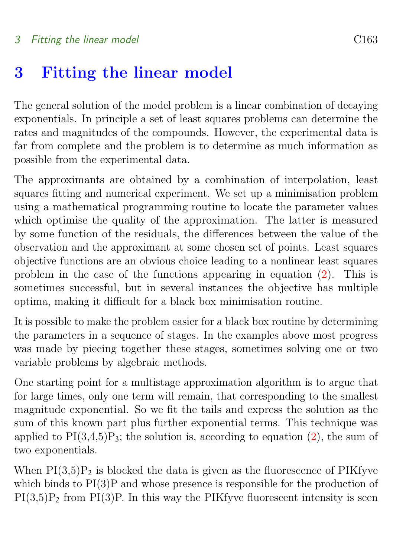### <span id="page-7-0"></span>3 Fitting the linear model

The general solution of the model problem is a linear combination of decaying exponentials. In principle a set of least squares problems can determine the rates and magnitudes of the compounds. However, the experimental data is far from complete and the problem is to determine as much information as possible from the experimental data.

The approximants are obtained by a combination of interpolation, least squares fitting and numerical experiment. We set up a minimisation problem using a mathematical programming routine to locate the parameter values which optimise the quality of the approximation. The latter is measured by some function of the residuals, the differences between the value of the observation and the approximant at some chosen set of points. Least squares objective functions are an obvious choice leading to a nonlinear least squares problem in the case of the functions appearing in equation [\(2\)](#page-5-1). This is sometimes successful, but in several instances the objective has multiple optima, making it difficult for a black box minimisation routine.

It is possible to make the problem easier for a black box routine by determining the parameters in a sequence of stages. In the examples above most progress was made by piecing together these stages, sometimes solving one or two variable problems by algebraic methods.

One starting point for a multistage approximation algorithm is to argue that for large times, only one term will remain, that corresponding to the smallest magnitude exponential. So we fit the tails and express the solution as the sum of this known part plus further exponential terms. This technique was applied to  $PI(3,4,5)P_3$ ; the solution is, according to equation [\(2\)](#page-5-1), the sum of two exponentials.

When  $PI(3,5)P_2$  is blocked the data is given as the fluorescence of PIKfyve which binds to  $PI(3)P$  and whose presence is responsible for the production of  $PI(3,5)P_2$  from  $PI(3)P$ . In this way the PIKfyve fluorescent intensity is seen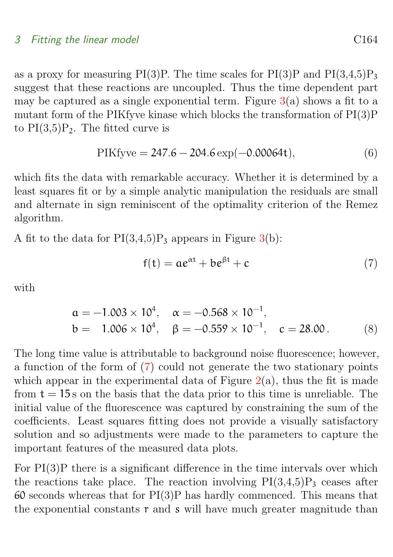#### 3 Fitting the linear model **C164** C164

as a proxy for measuring PI(3)P. The time scales for PI(3)P and PI(3,4,5)P<sub>3</sub> suggest that these reactions are uncoupled. Thus the time dependent part may be captured as a single exponential term. Figure  $3(a)$  $3(a)$  shows a fit to a mutant form of the PIKfyve kinase which blocks the transformation of PI(3)P to  $PI(3,5)P_2$ . The fitted curve is

$$
PIKf yve = 247.6 - 204.6 \exp(-0.00064t), \tag{6}
$$

which fits the data with remarkable accuracy. Whether it is determined by a least squares fit or by a simple analytic manipulation the residuals are small and alternate in sign reminiscent of the optimality criterion of the Remez algorithm.

A fit to the data for  $PI(3,4,5)P_3$  appears in Figure [3\(](#page-9-0)b):

<span id="page-8-0"></span>
$$
f(t) = ae^{\alpha t} + be^{\beta t} + c \tag{7}
$$

with

$$
\begin{aligned}\n\mathbf{a} &= -1.003 \times 10^4, & \alpha &= -0.568 \times 10^{-1}, \\
\mathbf{b} &= 1.006 \times 10^4, & \beta &= -0.559 \times 10^{-1}, & \mathbf{c} &= 28.00.\n\end{aligned} \tag{8}
$$

The long time value is attributable to background noise fluorescence; however, a function of the form of [\(7\)](#page-8-0) could not generate the two stationary points which appear in the experimental data of Figure  $2(a)$  $2(a)$ , thus the fit is made from  $t = 15$  s on the basis that the data prior to this time is unreliable. The initial value of the fluorescence was captured by constraining the sum of the coefficients. Least squares fitting does not provide a visually satisfactory solution and so adjustments were made to the parameters to capture the important features of the measured data plots.

For PI(3)P there is a significant difference in the time intervals over which the reactions take place. The reaction involving  $PI(3,4,5)P_3$  ceases after  $60$  seconds whereas that for  $PI(3)P$  has hardly commenced. This means that the exponential constants  $r$  and  $s$  will have much greater magnitude than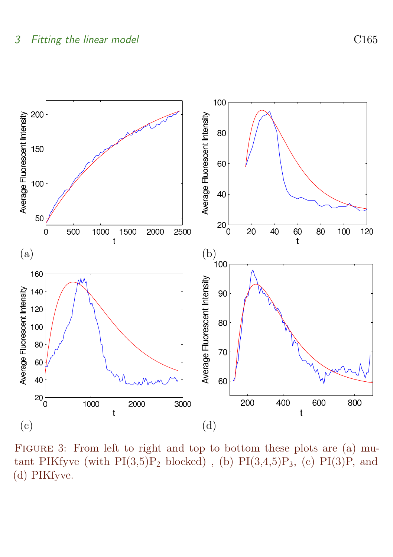

<span id="page-9-0"></span>FIGURE 3: From left to right and top to bottom these plots are (a) mutant PIKfyve (with  $PI(3,5)P_2$  blocked), (b)  $PI(3,4,5)P_3$ , (c)  $PI(3)P$ , and (d) PIKfyve.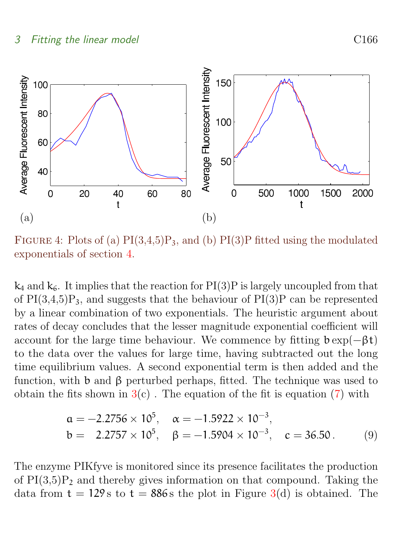

<span id="page-10-0"></span>FIGURE 4: Plots of (a)  $PI(3,4,5)P_3$ , and (b)  $PI(3)P$  fitted using the modulated exponentials of section [4.](#page-12-0)

 $k_4$  and  $k_6$ . It implies that the reaction for PI(3)P is largely uncoupled from that of  $PI(3,4,5)P_3$ , and suggests that the behaviour of  $PI(3)P$  can be represented by a linear combination of two exponentials. The heuristic argument about rates of decay concludes that the lesser magnitude exponential coefficient will account for the large time behaviour. We commence by fitting  $b \exp(-\beta t)$ to the data over the values for large time, having subtracted out the long time equilibrium values. A second exponential term is then added and the function, with b and  $\beta$  perturbed perhaps, fitted. The technique was used to obtain the fits shown in  $3(c)$  $3(c)$ . The equation of the fit is equation [\(7\)](#page-8-0) with

$$
\begin{aligned}\n\mathbf{a} &= -2.2756 \times 10^5, & \alpha &= -1.5922 \times 10^{-3}, \\
\mathbf{b} &= 2.2757 \times 10^5, & \beta &= -1.5904 \times 10^{-3}, & \mathbf{c} &= 36.50.\n\end{aligned} \tag{9}
$$

The enzyme PIKfyve is monitored since its presence facilitates the production of  $PI(3,5)P_2$  and thereby gives information on that compound. Taking the data from  $t = 129$  s to  $t = 886$  s the plot in Figure [3\(](#page-9-0)d) is obtained. The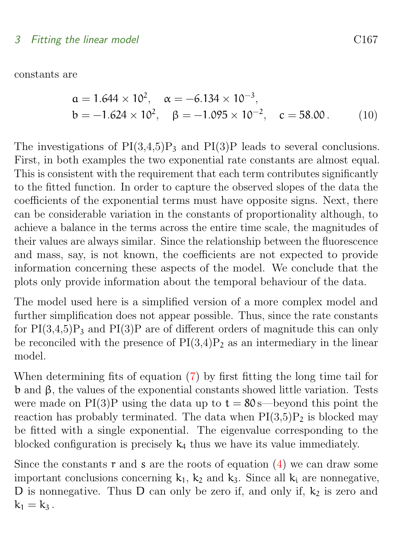constants are

$$
\begin{aligned}\n\mathfrak{a} &= 1.644 \times 10^2, & \alpha &= -6.134 \times 10^{-3}, \\
\mathfrak{b} &= -1.624 \times 10^2, & \beta &= -1.095 \times 10^{-2}, & \mathfrak{c} &= 58.00.\n\end{aligned} \tag{10}
$$

The investigations of  $PI(3,4,5)P_3$  and  $PI(3)P$  leads to several conclusions. First, in both examples the two exponential rate constants are almost equal. This is consistent with the requirement that each term contributes significantly to the fitted function. In order to capture the observed slopes of the data the coefficients of the exponential terms must have opposite signs. Next, there can be considerable variation in the constants of proportionality although, to achieve a balance in the terms across the entire time scale, the magnitudes of their values are always similar. Since the relationship between the fluorescence and mass, say, is not known, the coefficients are not expected to provide information concerning these aspects of the model. We conclude that the plots only provide information about the temporal behaviour of the data.

The model used here is a simplified version of a more complex model and further simplification does not appear possible. Thus, since the rate constants for  $PI(3,4,5)P_3$  and  $PI(3)P$  are of different orders of magnitude this can only be reconciled with the presence of  $PI(3,4)P_2$  as an intermediary in the linear model.

When determining fits of equation [\(7\)](#page-8-0) by first fitting the long time tail for b and β, the values of the exponential constants showed little variation. Tests were made on PI(3)P using the data up to  $t = 80$  s—beyond this point the reaction has probably terminated. The data when  $PI(3,5)P_2$  is blocked may be fitted with a single exponential. The eigenvalue corresponding to the blocked configuration is precisely  $k_4$  thus we have its value immediately.

Since the constants r and s are the roots of equation  $(4)$  we can draw some important conclusions concerning  $k_1$ ,  $k_2$  and  $k_3$ . Since all  $k_i$  are nonnegative, D is nonnegative. Thus D can only be zero if, and only if,  $k<sub>2</sub>$  is zero and  $k_1 = k_3$ .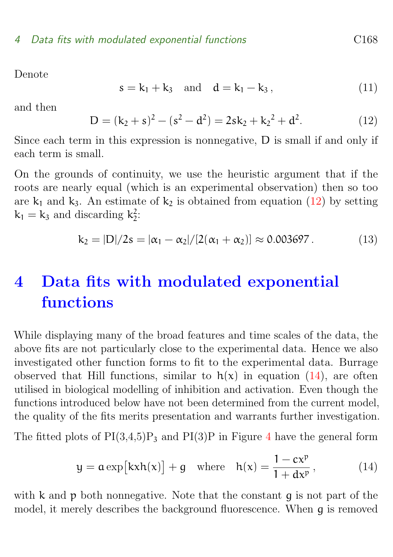Denote

$$
s = k_1 + k_3
$$
 and  $d = k_1 - k_3$ , (11)

and then

<span id="page-12-1"></span>
$$
D = (k_2 + s)^2 - (s^2 - d^2) = 2sk_2 + k_2^2 + d^2.
$$
 (12)

Since each term in this expression is nonnegative, D is small if and only if each term is small.

On the grounds of continuity, we use the heuristic argument that if the roots are nearly equal (which is an experimental observation) then so too are  $k_1$  and  $k_3$ . An estimate of  $k_2$  is obtained from equation [\(12\)](#page-12-1) by setting  $k_1 = k_3$  and discarding  $k_2^2$ :

<span id="page-12-3"></span>
$$
k_2 = |D|/2s = |\alpha_1 - \alpha_2|/[2(\alpha_1 + \alpha_2)] \approx 0.003697. \tag{13}
$$

## <span id="page-12-0"></span>4 Data fits with modulated exponential functions

While displaying many of the broad features and time scales of the data, the above fits are not particularly close to the experimental data. Hence we also investigated other function forms to fit to the experimental data. Burrage observed that Hill functions, similar to  $h(x)$  in equation [\(14\)](#page-12-2), are often utilised in biological modelling of inhibition and activation. Even though the functions introduced below have not been determined from the current model, the quality of the fits merits presentation and warrants further investigation.

The fitted plots of  $PI(3,4,5)P_3$  $PI(3,4,5)P_3$  $PI(3,4,5)P_3$  and  $PI(3)P$  in Figure 4 have the general form

<span id="page-12-2"></span>
$$
y = a \exp\left[kxh(x)\right] + g \quad \text{where} \quad h(x) = \frac{1 - cx^p}{1 + dx^p},\tag{14}
$$

with  $k$  and  $p$  both nonnegative. Note that the constant  $q$  is not part of the model, it merely describes the background fluorescence. When g is removed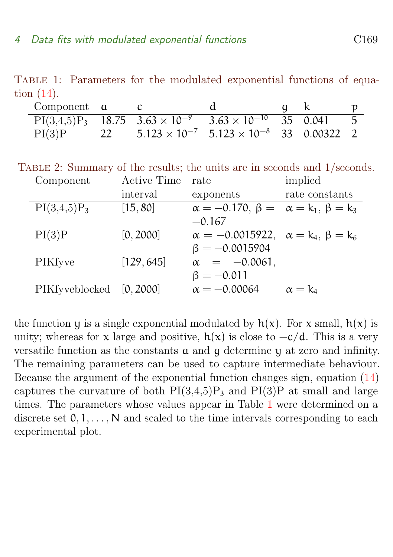TABLE 1: Parameters for the modulated exponential functions of equation [\(14\)](#page-12-2).

<span id="page-13-1"></span>

| Component $\alpha$ |    |                                                                                       |  |                |
|--------------------|----|---------------------------------------------------------------------------------------|--|----------------|
|                    |    | $PI(3,4,5)P_3$ 18.75 $3.63 \times 10^{-9}$ $3.\overline{63 \times 10^{-10}}$ 35 0.041 |  | 5 <sup>5</sup> |
| PI(3)P             | 22 | $5.123 \times 10^{-7}$ $5.123 \times 10^{-8}$ 33 0.00322 2                            |  |                |

Table 2: Summary of the results; the units are in seconds and 1/seconds.

<span id="page-13-2"></span>

| Component      | <b>Active Time</b> | rate                                                 | implied        |
|----------------|--------------------|------------------------------------------------------|----------------|
|                | interval           | exponents                                            | rate constants |
| $PI(3,4,5)P_3$ | [15, 80]           | $\alpha = -0.170, \beta = \alpha = k_1, \beta = k_3$ |                |
|                |                    | $-0.167$                                             |                |
| PI(3)P         | [0, 2000]          | $\alpha = -0.0015922, \alpha = k_4, \beta = k_6$     |                |
|                |                    | $\beta = -0.0015904$                                 |                |
| PIKfyve        | [129, 645]         | $\alpha = -0.0061,$                                  |                |
|                |                    | $\beta = -0.011$                                     |                |
| PIKfyveblocked | [0, 2000]          | $\alpha = -0.00064$                                  | $\alpha = k_4$ |

<span id="page-13-0"></span>the function y is a single exponential modulated by  $h(x)$ . For x small,  $h(x)$  is unity; whereas for x large and positive,  $h(x)$  is close to  $-c/d$ . This is a very versatile function as the constants a and g determine y at zero and infinity. The remaining parameters can be used to capture intermediate behaviour. Because the argument of the exponential function changes sign, equation [\(14\)](#page-12-2) captures the curvature of both  $PI(3,4,5)P_3$  and  $PI(3)P$  at small and large times. The parameters whose values appear in Table [1](#page-13-1) were determined on a discrete set  $0, 1, \ldots, N$  and scaled to the time intervals corresponding to each experimental plot.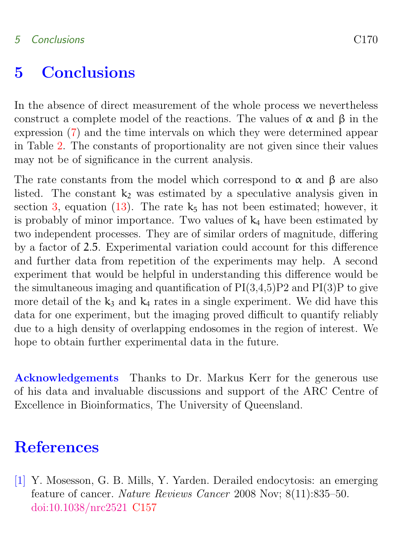#### 5 Conclusions C170

### 5 Conclusions

In the absence of direct measurement of the whole process we nevertheless construct a complete model of the reactions. The values of  $\alpha$  and  $\beta$  in the expression [\(7\)](#page-8-0) and the time intervals on which they were determined appear in Table [2.](#page-13-2) The constants of proportionality are not given since their values may not be of significance in the current analysis.

The rate constants from the model which correspond to  $\alpha$  and  $\beta$  are also listed. The constant  $k_2$  was estimated by a speculative analysis given in section [3,](#page-7-0) equation [\(13\)](#page-12-3). The rate  $k_5$  has not been estimated; however, it is probably of minor importance. Two values of  $k_4$  have been estimated by two independent processes. They are of similar orders of magnitude, differing by a factor of 2.5. Experimental variation could account for this difference and further data from repetition of the experiments may help. A second experiment that would be helpful in understanding this difference would be the simultaneous imaging and quantification of  $PI(3,4,5)P2$  and  $PI(3)P$  to give more detail of the  $k_3$  and  $k_4$  rates in a single experiment. We did have this data for one experiment, but the imaging proved difficult to quantify reliably due to a high density of overlapping endosomes in the region of interest. We hope to obtain further experimental data in the future.

Acknowledgements Thanks to Dr. Markus Kerr for the generous use of his data and invaluable discussions and support of the ARC Centre of Excellence in Bioinformatics, The University of Queensland.

#### <span id="page-14-0"></span>**References**

<span id="page-14-1"></span>[1] Y. Mosesson, G. B. Mills, Y. Yarden. Derailed endocytosis: an emerging feature of cancer. Nature Reviews Cancer 2008 Nov; 8(11):835–50. [doi:10.1038/nrc2521](http://dx.doi.org/10.1038/nrc2521) [C157](#page-1-1)